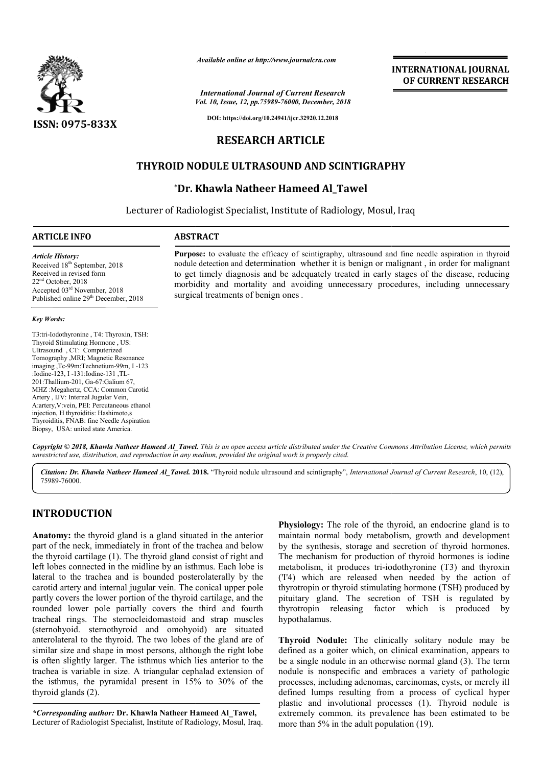

*Available online at http://www.journalcra.com*

*Vol. 10, Issue, 12, pp.75989-76000, December, 2018 International Journal of Current Research*

**INTERNATIONAL JOURNAL OF CURRENT RESEARCH**

**DOI: https://doi.org/10.24941/ijcr.32920.12.2018**

# **RESEARCH ARTICLE**

# **THYROID NODULE ULTRASOUND AND SCINTIGRAPHY**

# **\*Dr. Khawla Natheer Hameed Al\_Tawel Dr.**

Lecturer of Radiologist Specialist, Institute of Radiology, Mosul, Iraq

#### **ARTICLE INFO ABSTRACT**

*Article History:* Received 18<sup>th</sup> September, 2018 Received in revised form 22nd October, 2018 Accepted 03rd November, 2018 Published online 29<sup>th</sup> December, 2018

#### *Key Words:*

T3:tri-Iodothyronine , T4: Thyroxin, TSH: Thyroid Stimulating Hormone , US: Ultrasound , CT: Computerized Tomography ,MRI; Magnetic Resonance imaging ,Tc-99m:Technetium-99m, I -123 :Iodine-123, I -131:Iodine-131 ,TL-201:Thallium-201, Ga-67:Galium 67, MHZ :Megahertz, CCA: Common Carotid Artery , IJV: Internal Jugular Vein, A:artery,V:vein, PEI: Percutaneous ethanol injection, H thyroiditis: Hashimoto,s Thyroiditis, FNAB: fine Needle Aspiration Biopsy, USA: united state America.

Purpose: to evaluate the efficacy of scintigraphy, ultrasound and fine needle aspiration in thyroid nodule detection and determination whether it is benign or malignant , in order for malignant to get timely diagnosis and be adequately treated in early stages of the disease, reducing morbidity and mortality and avoiding unnecessary procedures, including unnecessary morbidity and surgical treatments of benign ones . **Purpose:** to evaluate the efficacy of scintigraphy, ultrasound and fine needle aspiration in thyroid nodule detection and determination whether it is benign or malignant, in order for malignant to get timely diagnosis and

Copyright © 2018, Khawla Natheer Hameed Al\_Tawel. This is an open access article distributed under the Creative Commons Attribution License, which permits *unrestricted use, distribution, and reproduction in any medium, provided the original work is properly cited.*

Citation: Dr. Khawla Natheer Hameed Al\_Tawel. 2018. "Thyroid nodule ultrasound and scintigraphy", *International Journal of Current Research*, 10, (12), 75989-76000.

# **INTRODUCTION**

**Anatomy:** the thyroid gland is a gland situated in the anterior part of the neck, immediately in front of the trachea and below the thyroid cartilage (1). The thyroid gland consist of right and left lobes connected in the midline by an isthmus. Each lobe is lateral to the trachea and is bounded posterolaterally by the carotid artery and internal jugular vein. The conical upper pole partly covers the lower portion of the thyroid cartilage, and the rounded lower pole partially covers the third and fourth tracheal rings. The sternocleidomastoid and strap muscles (sternohyoid. sternothyroid and omohyoid) are situated anterolateral to the thyroid. The two lobes of the gland are of similar size and shape in most persons, although the right lobe is often slightly larger. The isthmus which lies anterior to the trachea is variable in size. A triangular cephalad extension of the isthmus, the pyramidal present in 15% to 30% of the thyroid glands (2). s. The sternoot<br>sternothyroid<br>to the thyroid.<br>nd shape in mo<br>tly larger. The

*\*Corresponding author:* **Dr. Khawla Natheer Hameed Al\_Tawel Al\_Tawel,** Lecturer of Radiologist Specialist, Institute of Radiology, Mosul, Iraq. **Physiology:** The role of the thyroid, an endocrine gland is to maintain normal body metabolism, growth and development by the synthesis, storage and secretion of thyroid hormones. The mechanism for production of thyroid hormones is iodine metabolism, it produces tri-iodothyronine (T3) and thyroxin ('I'4) which are released when needed by the action of thyrotropin or thyroid stimulating hormone (TSH) produced by pituitary gland. The secretion of TSH is regulated by thyrotropin releasing factor which is produced by hypothalamus. **Physiology:** The role of the thyroid, an endocrine gland is to maintain normal body metabolism, growth and development by the synthesis, storage and secretion of thyroid hormones. The mechanism for production of thyrotic **EXERCT TONAL JOURNAL CONSTRANT CONSTRANT CONSTRANT CONSTRANT CONSTRANT CONSTRANT CONSTRANT TO COURT CONSTRANT TO A 23.013<br>
<b>EXERCT CONSTRANT CONSTRANT PRESEARCH**<br> **EXERCT CONSTRANT PRESEARCH**<br> **EXERCT CONSTRANT PRESEARCH** 

**Thyroid Nodule:** The clinically solitary nodule may be defined as a goiter which, on clinical examination, appears to be a single nodule in an otherwise normal gland (3). The term nodule is nonspecific and embraces a variety of pathologic processes, including adenomas, carcinomas, cysts, or merely ill defined lumps resulting from a process of cyclical hyper plastic and involutional processes (1). Thyroid nodule is extremely common. its prevalence has been estimated to be more than 5% in the adult population (19). thyrotropin releasing factor which is produced by<br>hypothalamus.<br>Thyroid Nodule: The clinically solitary nodule may be<br>defined as a goiter which, on clinical examination, appears to<br>be a single nodule in an otherwise normal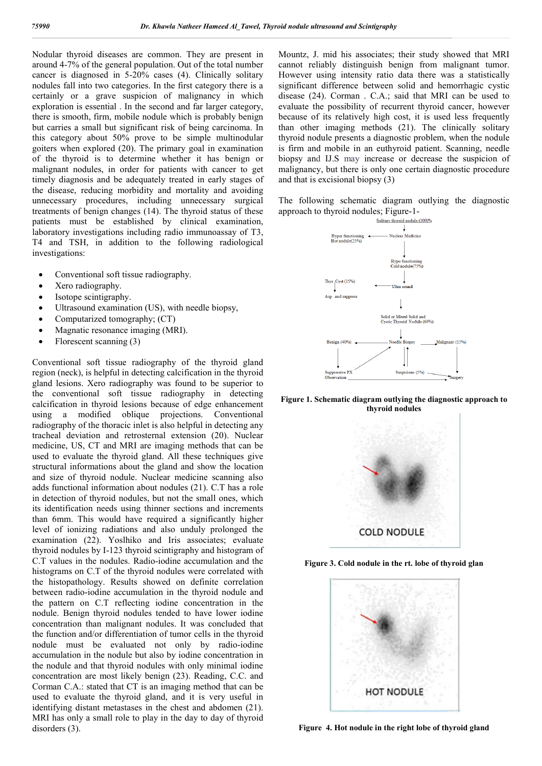Nodular thyroid diseases are common. They are present in around 4-7% of the general population. Out of the total number cancer is diagnosed in 5-20% cases (4). Clinically solitary nodules fall into two categories. In the first category there is a certainly or a grave suspicion of malignancy in which exploration is essential . In the second and far larger category, there is smooth, firm, mobile nodule which is probably benign but carries a small but significant risk of being carcinoma. In this category about 50% prove to be simple multinodular goiters when explored (20). The primary goal in examination of the thyroid is to determine whether it has benign or malignant nodules, in order for patients with cancer to get timely diagnosis and be adequately treated in early stages of the disease, reducing morbidity and mortality and avoiding unnecessary procedures, including unnecessary surgical treatments of benign changes (14). The thyroid status of these patients must be established by clinical examination, laboratory investigations including radio immunoassay of T3, T4 and TSH, in addition to the following radiological investigations:

- Conventional soft tissue radiography.
- Xero radiography.
- Isotope scintigraphy.
- Ultrasound examination (US), with needle biopsy,
- Computarized tomography; (CT)
- Magnatic resonance imaging (MRI).
- Florescent scanning (3)

Conventional soft tissue radiography of the thyroid gland region (neck), is helpful in detecting calcification in the thyroid gland lesions. Xero radiography was found to be superior to the conventional soft tissue radiography in detecting calcification in thyroid lesions because of edge enhancement using a modified oblique projections. Conventional radiography of the thoracic inlet is also helpful in detecting any tracheal deviation and retrosternal extension (20). Nuclear medicine, US, CT and MRI are imaging methods that can be used to evaluate the thyroid gland. All these techniques give structural informations about the gland and show the location and size of thyroid nodule. Nuclear medicine scanning also adds functional information about nodules (21). C.T has a role in detection of thyroid nodules, but not the small ones, which its identification needs using thinner sections and increments than 6mm. This would have required a significantly higher level of ionizing radiations and also unduly prolonged the examination (22). Yoslhiko and Iris associates; evaluate thyroid nodules by I-123 thyroid scintigraphy and histogram of C.T values in the nodules. Radio-iodine accumulation and the histograms on C.T of the thyroid nodules were correlated with the histopathology. Results showed on definite correlation between radio-iodine accumulation in the thyroid nodule and the pattern on C.T reflecting iodine concentration in the nodule. Benign thyroid nodules tended to have lower iodine concentration than malignant nodules. It was concluded that the function and/or differentiation of tumor cells in the thyroid nodule must be evaluated not only by radio-iodine accumulation in the nodule but also by iodine concentration in the nodule and that thyroid nodules with only minimal iodine concentration are most likely benign (23). Reading, C.C. and Corman C.A.: stated that CT is an imaging method that can be used to evaluate the thyroid gland, and it is very useful in identifying distant metastases in the chest and abdomen (21). MRI has only a small role to play in the day to day of thyroid disorders (3).

Mountz, J. mid his associates; their study showed that MRI cannot reliably distinguish benign from malignant tumor. However using intensity ratio data there was a statistically significant difference between solid and hemorrhagic cystic disease (24). Corman . C.A.; said that MRI can be used to evaluate the possibility of recurrent thyroid cancer, however because of its relatively high cost, it is used less frequently than other imaging methods (21). The clinically solitary thyroid nodule presents a diagnostic problem, when the nodule is firm and mobile in an euthyroid patient. Scanning, needle biopsy and IJ.S may increase or decrease the suspicion of malignancy, but there is only one certain diagnostic procedure and that is excisional biopsy (3)

The following schematic diagram outlying the diagnostic approach to thyroid nodules; Figure-1-



**Figure 1. Schematic diagram outlying the diagnostic approach to thyroid nodules**



**Figure 3. Cold nodule in the rt. lobe of thyroid glan**



**Figure 4. Hot nodule in the right lobe of thyroid gland**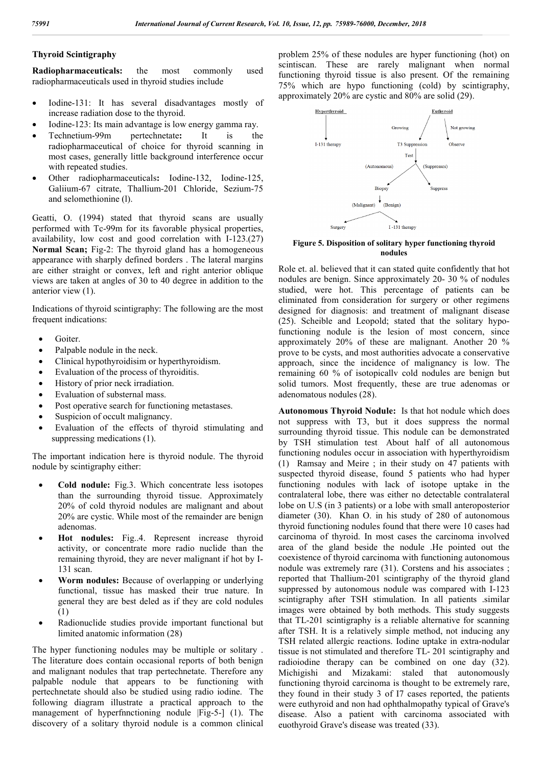## **Thyroid Scintigraphy**

**Radiopharmaceuticals:** the most commonly used radiopharmaceuticals used in thyroid studies include

- Iodine-131: It has several disadvantages mostly of increase radiation dose to the thyroid.
- Iodine-123: Its main advantage is low energy gamma ray.
- Technetium-99m pertechnetate**:** It is the radiopharmaceutical of choice for thyroid scanning in most cases, generally little background interference occur with repeated studies.
- Other radiopharmaceuticals**:** Iodine-132, Iodine-125, Galiium-67 citrate, Thallium-201 Chloride, Sezium-75 and selomethionine (l).

Geatti, O. (1994) stated that thyroid scans are usually performed with Tc-99m for its favorable physical properties, availability, low cost and good correlation with I-123.(27) **Normal Scan;** Fig-2: The thyroid gland has a homogeneous appearance with sharply defined borders . The lateral margins are either straight or convex, left and right anterior oblique views are taken at angles of 30 to 40 degree in addition to the anterior view (1).

Indications of thyroid scintigraphy: The following are the most frequent indications:

- Goiter.
- Palpable nodule in the neck.
- Clinical hypothyroidisim or hyperthyroidism.
- Evaluation of the process of thyroiditis.
- History of prior neck irradiation.
- Evaluation of substernal mass.
- Post operative search for functioning metastases.
- Suspicion of occult malignancy.
- Evaluation of the effects of thyroid stimulating and suppressing medications (1).

The important indication here is thyroid nodule. The thyroid nodule by scintigraphy either:

- **Cold nodule:** Fig.3. Which concentrate less isotopes than the surrounding thyroid tissue. Approximately 20% of cold thyroid nodules are malignant and about 20% are cystic. While most of the remainder are benign adenomas.
- **Hot nodules:** Fig..4. Represent increase thyroid activity, or concentrate more radio nuclide than the remaining thyroid, they are never malignant if hot by I-131 scan.
- **Worm nodules:** Because of overlapping or underlying functional, tissue has masked their true nature. In general they are best deled as if they are cold nodules (1)
- Radionuclide studies provide important functional but limited anatomic information (28)

The hyper functioning nodules may be multiple or solitary . The literature does contain occasional reports of both benign and malignant nodules that trap pertechnetate. Therefore any palpable nodule that appears to be functioning with pertechnetate should also be studied using radio iodine. The following diagram illustrate a practical approach to the management of hyperfnnctioning nodule |Fig-5-] (1). The discovery of a solitary thyroid nodule is a common clinical problem 25% of these nodules are hyper functioning (hot) on scintiscan. These are rarely malignant when normal functioning thyroid tissue is also present. Of the remaining 75% which are hypo functioning (cold) by scintigraphy, approximately 20% are cystic and 80% are solid (29).



**Figure 5. Disposition of solitary hyper functioning thyroid nodules**

Role et. al. believed that it can stated quite confidently that hot nodules are benign. Since approximately 20- 30 % of nodules studied, were hot. This percentage of patients can be eliminated from consideration for surgery or other regimens designed for diagnosis: and treatment of malignant disease (25). Scheible and Leopold; stated that the solitary hypofunctioning nodule is the lesion of most concern, since approximately 20% of these are malignant. Another 20 % prove to be cysts, and most authorities advocate a conservative approach, since the incidence of malignancy is low. The remaining 60 % of isotopicallv cold nodules are benign but solid tumors. Most frequently, these are true adenomas or adenomatous nodules (28).

**Autonomous Thyroid Nodule:** Is that hot nodule which does not suppress with T3, but it does suppress the normal surrounding thyroid tissue. This nodule can be demonstrated by TSH stimulation test. About half of all autonomous functioning nodules occur in association with hyperthyroidism (1) Ramsay and Meire ; in their study on 47 patients with suspected thyroid disease, found 5 patients who had hyper functioning nodules with lack of isotope uptake in the contralateral lobe, there was either no detectable contralateral lobe on U.S (in 3 patients) or a lobe with small anteroposterior diameter (30). Khan O. in his study of 280 of autonomous thyroid functioning nodules found that there were 10 cases had carcinoma of thyroid. In most cases the carcinoma involved area of the gland beside the nodule .He pointed out the coexistence of thyroid carcinoma with functioning autonomous nodule was extremely rare (31). Corstens and his associates ; reported that Thallium-201 scintigraphy of the thyroid gland suppressed by autonomous nodule was compared with I-123 scintigraphy after TSH stimulation. In all patients .similar images were obtained by both methods. This study suggests that TL-201 scintigraphy is a reliable alternative for scanning after TSH. It is a relatively simple method, not inducing any TSH related allergic reactions. Iodine uptake in extra-nodular tissue is not stimulated and therefore TL- 201 scintigraphy and radioiodine therapy can be combined on one day (32). Michigishi and Mizakami: staled that autonomously functioning thyroid carcinoma is thought to be extremely rare, they found in their study 3 of I7 cases reported, the patients were euthyroid and non had ophthalmopathy typical of Grave's disease. Also a patient with carcinoma associated with euothyroid Grave's disease was treated (33).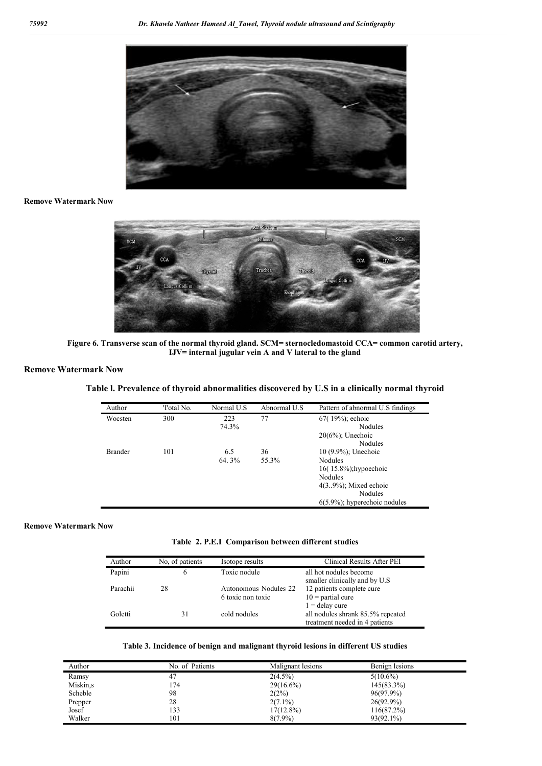

#### **Remove Watermark Now**



**Figure 6. Transverse scan of the normal thyroid gland. SCM= sternocledomastoid CCA= common carotid artery, IJV= internal jugular vein A and V lateral to the gland**

#### **Remove Watermark Now**

# **Table l. Prevalence of thyroid abnormalities discovered by U.S in a clinically normal thyroid**

| Author         | Total No. | Normal U.S | Abnormal U.S. | Pattern of abnormal U.S findings |
|----------------|-----------|------------|---------------|----------------------------------|
| Wocsten        | 300       | 223        | 77            | $67(19%)$ ; echoic               |
|                |           | 74.3%      |               | Nodules                          |
|                |           |            |               | $20(6%)$ ; Unechoic              |
|                |           |            |               | Nodules                          |
| <b>Brander</b> | 101       | 6.5        | 36            | 10 (9.9%); Unechoic              |
|                |           | 64.3%      | 55.3%         | Nodules                          |
|                |           |            |               | $16(15.8\%)$ ; hypoechoic        |
|                |           |            |               | Nodules                          |
|                |           |            |               | $4(3.9\%)$ ; Mixed echoic        |
|                |           |            |               | Nodules                          |
|                |           |            |               | $6(5.9\%)$ ; hyperechoic nodules |

#### **Remove Watermark Now**

**Table 2. P.E.I Comparison between different studies**

| Author   | No. of patients | Isotope results                            | Clinical Results After PEI                                                              |
|----------|-----------------|--------------------------------------------|-----------------------------------------------------------------------------------------|
| Papini   | 6               | Toxic nodule                               | all hot nodules become<br>smaller clinically and by U.S.                                |
| Parachii | 28              | Autonomous Nodules 22<br>6 toxic non toxic | 12 patients complete cure<br>$10$ = partial cure                                        |
| Goletti  | 31              | cold nodules                               | $1 =$ delay cure<br>all nodules shrank 85.5% repeated<br>treatment needed in 4 patients |

#### **Table 3. Incidence of benign and malignant thyroid lesions in different US studies**

| Author    | No. of Patients | Malignant lesions | Benign lesions |
|-----------|-----------------|-------------------|----------------|
| Ramsy     | 47              | $2(4.5\%)$        | $5(10.6\%)$    |
| Miskin, s | 174             | $29(16.6\%)$      | $145(83.3\%)$  |
| Scheble   | 98              | 2(2%)             | 96(97.9%)      |
| Prepper   | 28              | $2(7.1\%)$        | $26(92.9\%)$   |
| Josef     | 133             | $17(12.8\%)$      | 116(87.2%)     |
| Walker    | 101             | $8(7.9\%)$        | $93(92.1\%)$   |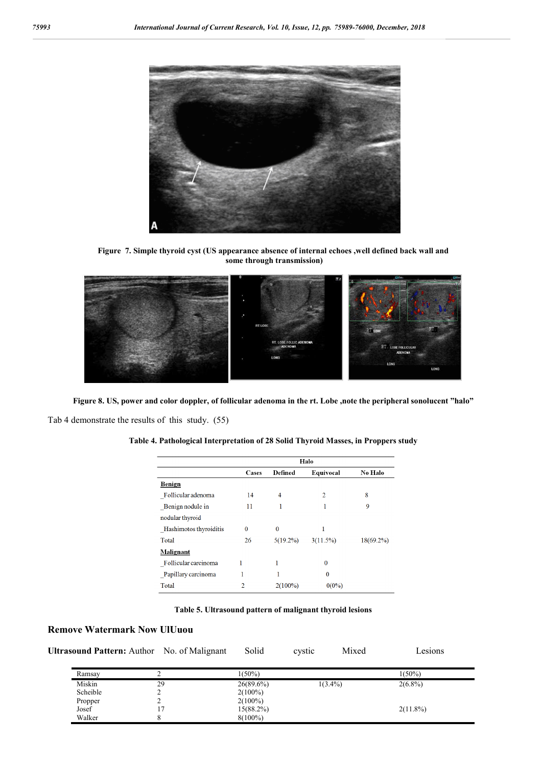

**Figure 7. Simple thyroid cyst (US appearance absence of internal echoes ,well defined back wall and some through transmission)**



**Figure 8. US, power and color doppler, of follicular adenoma in the rt. Lobe ,note the peripheral sonolucent "halo"** Tab 4 demonstrate the results of this study. (55)

|                        | Halo         |             |           |                |
|------------------------|--------------|-------------|-----------|----------------|
|                        | <b>Cases</b> | Defined     | Equivocal | <b>No Halo</b> |
| <b>Benign</b>          |              |             |           |                |
| Follicular adenoma     | 14           | 4           | 2         | 8              |
| Benign nodule in       | 11           |             |           | 9              |
| nodular thyroid        |              |             |           |                |
| Hashimotos thyroiditis | $\bf{0}$     | $\bf{0}$    | 1         |                |
| Total                  | 26           | $5(19.2\%)$ | 3(11.5%)  | $18(69.2\%)$   |
| <b>Malignant</b>       |              |             |           |                |
| Follicular carcinoma   |              |             | $\Omega$  |                |
| Papillary carcinoma    |              | 1           | $\bf{0}$  |                |
| Total                  | 2            | $2(100\%)$  | $0(0\%)$  |                |

**Table 4. Pathological Interpretation of 28 Solid Thyroid Masses, in Proppers study**

**Table 5. Ultrasound pattern of malignant thyroid lesions**

# **Remove Watermark Now UlUuou**

| <b>Ultrasound Pattern:</b> Author No. of Malignant Solid |  | cystic | Mixed | Lesions |
|----------------------------------------------------------|--|--------|-------|---------|
|                                                          |  |        |       |         |

| Ramsay   |    | $(50\%)$     |            | $1(50\%)$   |  |
|----------|----|--------------|------------|-------------|--|
| Miskin   | 29 | $26(89.6\%)$ | $1(3.4\%)$ | $2(6.8\%)$  |  |
| Scheible |    | $2(100\%)$   |            |             |  |
| Propper  |    | $2(100\%)$   |            |             |  |
| Josef    |    | 15(88.2%)    |            | $2(11.8\%)$ |  |
| Walker   |    | $8(100\%)$   |            |             |  |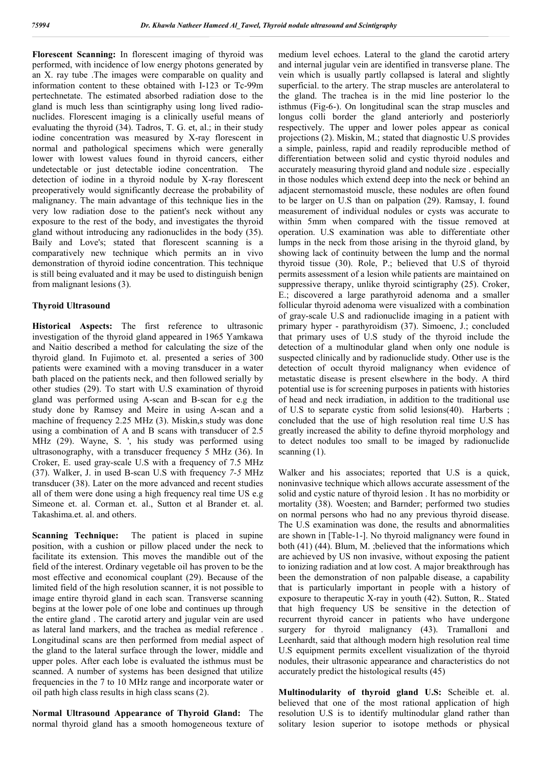**Florescent Scanning:** In florescent imaging of thyroid was performed, with incidence of low energy photons generated by an X. ray tube .The images were comparable on quality and information content to these obtained with I-123 or Tc-99m pertechnetate. The estimated absorbed radiation dose to the gland is much less than scintigraphy using long lived radionuclides. Florescent imaging is a clinically useful means of evaluating the thyroid (34). Tadros, T. G. et, al.; in their study iodine concentration was measured by X-ray florescent in normal and pathological specimens which were generally lower with lowest values found in thyroid cancers, either undetectable or just detectable iodine concentration. The detection of iodine in a thyroid nodule by X-ray florescent preoperatively would significantly decrease the probability of malignancy. The main advantage of this technique lies in the very low radiation dose to the patient's neck without any exposure to the rest of the body, and investigates the thyroid gland without introducing any radionuclides in the body (35). Baily and Love's; stated that florescent scanning is a comparatively new technique which permits an in vivo demonstration of thyroid iodine concentration. This technique is still being evaluated and it may be used to distinguish benign from malignant lesions (3).

#### **Thyroid Ultrasound**

**Historical Aspects:** The first reference to ultrasonic investigation of the thyroid gland appeared in 1965 Yamkawa and Naitio described a method for calculating the size of the thyroid gland. In Fujimoto et. al. presented a series of 300 patients were examined with a moving transducer in a water bath placed on the patients neck, and then followed serially by other studies (29). To start with U.S examination of thyroid gland was performed using A-scan and B-scan for e.g the study done by Ramsey and Meire in using A-scan and a machine of frequency 2.25 MHz (3). Miskin,s study was done using a combination of A and B scans with transducer of 2.5 MHz (29). Wayne, S. ', his study was performed using ultrasonography, with a transducer frequency 5 MHz (36). In Croker, E. used gray-scale U.S with a frequency of 7.5 MHz (37). Walker, J. in used B-scan U.S with frequency *7-5* MHz transducer (38). Later on the more advanced and recent studies all of them were done using a high frequency real time US e.g Simeone et. al. Corman et. al., Sutton et al Brander et. al. Takashima.et. al. and others.

**Scanning Technique:** The patient is placed in supine position, with a cushion or pillow placed under the neck to facilitate its extension. This moves the mandible out of the field of the interest. Ordinary vegetable oil has proven to be the most effective and economical couplant (29). Because of the limited field of the high resolution scanner, it is not possible to image entire thyroid gland in each scan. Transverse scanning begins at the lower pole of one lobe and continues up through the entire gland . The carotid artery and jugular vein are used as lateral land markers, and the trachea as medial reference . Longitudinal scans are then performed from medial aspect of the gland to the lateral surface through the lower, middle and upper poles. After each lobe is evaluated the isthmus must be scanned. A number of systems has been designed that utilize frequencies in the 7 to 10 MHz range and incorporate water or oil path high class results in high class scans (2).

**Normal Ultrasound Appearance of Thyroid Gland:** The normal thyroid gland has a smooth homogeneous texture of medium level echoes. Lateral to the gland the carotid artery and internal jugular vein are identified in transverse plane. The vein which is usually partly collapsed is lateral and slightly superficial. to the artery. The strap muscles are anterolateral to the gland. The trachea is in the mid line posterior lo the isthmus (Fig-6-). On longitudinal scan the strap muscles and longus colli border the gland anteriorly and posteriorly respectively. The upper and lower poles appear as conical projections (2). Miskin, M.; stated that diagnostic U.S provides a simple, painless, rapid and readily reproducible method of differentiation between solid and cystic thyroid nodules and accurately measuring thyroid gland and nodule size . especially in those nodules which extend deep into the neck or behind an adjacent sternomastoid muscle, these nodules are often found to be larger on U.S than on palpation (29). Ramsay, I. found measurement of individual nodules or cysts was accurate to within 5mm when compared with the tissue removed at operation. U.S examination was able to differentiate other lumps in the neck from those arising in the thyroid gland, by showing lack of continuity between the lump and the normal thyroid tissue (30). Role, P.; believed that U.S of thyroid permits assessment of a lesion while patients are maintained on suppressive therapy, unlike thyroid scintigraphy (25). Croker, E.; discovered a large parathyroid adenoma and a smaller follicular thyroid adenoma were visualized with a combination of gray-scale U.S and radionuclide imaging in a patient with primary hyper - parathyroidism (37). Simoenc, J.; concluded that primary uses of U.S study of the thyroid include the detection of a multinodular gland when only one nodule is suspected clinically and by radionuclide study. Other use is the detection of occult thyroid malignancy when evidence of metastatic disease is present elsewhere in the body. A third potential use is for screening purposes in patients with histories of head and neck irradiation, in addition to the traditional use of U.S to separate cystic from solid lesions(40). Harberts ; concluded that the use of high resolution real time U.S has greatly increased the ability to define thyroid morphology and to detect nodules too small to be imaged by radionuclide scanning  $(1)$ .

Walker and his associates; reported that U.S is a quick, noninvasive technique which allows accurate assessment of the solid and cystic nature of thyroid lesion . It has no morbidity or mortality (38). Woesten; and Barnder; performed two studies on normal persons who had no any previous thyroid disease. The U.S examination was done, the results and abnormalities are shown in [Table-1-]. No thyroid malignancy were found in both (41) (44). Blum, M. ;believed that the informations which are achieved by US non invasive, without exposing the patient to ionizing radiation and at low cost. A major breakthrough has been the demonstration of non palpable disease, a capability that is particularly important in people with a history of exposure to therapeutic X-ray in youth (42). Sutton, R.. Stated that high frequency US be sensitive in the detection of recurrent thyroid cancer in patients who have undergone surgery for thyroid malignancy (43). Tramalloni and Leenhardt, said that although modern high resolution real time U.S equipment permits excellent visualization of the thyroid nodules, their ultrasonic appearance and characteristics do not accurately predict the histological results (45)

**Multinodularity of thyroid gland U.S:** Scheible et. al. believed that one of the most rational application of high resolution U.S is to identify multinodular gland rather than solitary lesion superior to isotope methods or physical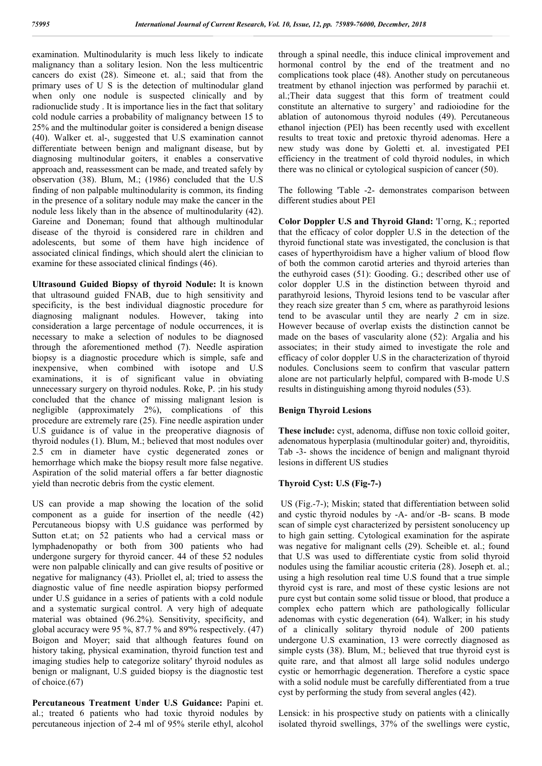examination. Multinodularity is much less likely to indicate malignancy than a solitary lesion. Non the less multicentric cancers do exist (28). Simeone et. al.; said that from the primary uses of U S is the detection of multinodular gland when only one nodule is suspected clinically and by radionuclide study . It is importance lies in the fact that solitary cold nodule carries a probability of malignancy between 15 to 25% and the multinodular goiter is considered a benign disease (40). Walker et. al-, suggested that U.S examination cannot differentiate between benign and malignant disease, but by diagnosing multinodular goiters, it enables a conservative approach and, reassessment can be made, and treated safely by observation (38). Blum, M.; (1986) concluded that the U.S finding of non palpable multinodularity is common, its finding in the presence of a solitary nodule may make the cancer in the nodule less likely than in the absence of multinodularity (42). Gareine and Doneman; found that although multinodular disease of the thyroid is considered rare in children and adolescents, but some of them have high incidence of associated clinical findings, which should alert the clinician to examine for these associated clinical findings (46).

**Ultrasound Guided Biopsy of thyroid Nodule:** It is known that ultrasound guided FNAB, due to high sensitivity and specificity, is the best individual diagnostic procedure for diagnosing malignant nodules. However, taking into consideration a large percentage of nodule occurrences, it is necessary to make a selection of nodules to be diagnosed through the aforementioned method (7). Needle aspiration biopsy is a diagnostic procedure which is simple, safe and inexpensive, when combined with isotope and U.S examinations, it is of significant value in obviating unnecessary surgery on thyroid nodules. Roke, P. ;in his study concluded that the chance of missing malignant lesion is negligible (approximately 2%), complications of this procedure are extremely rare (25). Fine needle aspiration under U.S guidance is of value in the preoperative diagnosis of thyroid nodules (1). Blum, M.; believed that most nodules over 2.5 cm in diameter have cystic degenerated zones or hemorrhage which make the biopsy result more false negative. Aspiration of the solid material offers a far better diagnostic yield than necrotic debris from the cystic element.

US can provide a map showing the location of the solid component as a guide for insertion of the needle (42) Percutaneous biopsy with U.S guidance was performed by Sutton et.at; on 52 patients who had a cervical mass or lymphadenopathy or both from 300 patients who had undergone surgery for thyroid cancer. 44 of these 52 nodules were non palpable clinically and can give results of positive or negative for malignancy (43). Priollet el, al; tried to assess the diagnostic value of fine needle aspiration biopsy performed under U.S guidance in a series of patients with a cold nodule and a systematic surgical control. A very high of adequate material was obtained (96.2%). Sensitivity, specificity, and global accuracy were 95 %, 87.7 % and 89 $\%$  respectively. (47) Boigon and Moyer; said that although features found on history taking, physical examination, thyroid function test and imaging studies help to categorize solitary' thyroid nodules as benign or malignant, U.S guided biopsy is the diagnostic test of choice.(67)

**Percutaneous Treatment Under U.S Guidance:** Papini et. al.; treated 6 patients who had toxic thyroid nodules by percutaneous injection of 2-4 ml of 95% sterile ethyl, alcohol

through a spinal needle, this induce clinical improvement and hormonal control by the end of the treatment and no complications took place (48). Another study on percutaneous treatment by ethanol injection was performed by parachii et. al.;Their data suggest that this form of treatment could constitute an alternative to surgery' and radioiodine for the ablation of autonomous thyroid nodules (49). Percutaneous ethanol injection (PEl) has been recently used with excellent results to treat toxic and pretoxic thyroid adenomas. Here a new study was done by Goletti et. al. investigated PEI efficiency in the treatment of cold thyroid nodules, in which there was no clinical or cytological suspicion of cancer (50).

The following 'Table -2- demonstrates comparison between different studies about PEl

**Color Doppler U.S and Thyroid Gland:** 'I'orng, K.; reported that the efficacy of color doppler U.S in the detection of the thyroid functional state was investigated, the conclusion is that cases of hyperthyroidism have a higher valium of blood flow of both the common carotid arteries and thyroid arteries than the euthyroid cases (51): Gooding. G.; described other use of color doppler U.S in the distinction between thyroid and parathyroid lesions, Thyroid lesions tend to be vascular after they reach size greater than 5 cm, where as parathyroid lesions tend to be avascular until they are nearly *2* cm in size. However because of overlap exists the distinction cannot be made on the bases of vascularity alone (52): Argalia and his associates; in their study aimed to investigate the role and efficacy of color doppler U.S in the characterization of thyroid nodules. Conclusions seem to confirm that vascular pattern alone are not particularly helpful, compared with B-mode U.S results in distinguishing among thyroid nodules (53).

## **Benign Thyroid Lesions**

**These include:** cyst, adenoma, diffuse non toxic colloid goiter, adenomatous hyperplasia (multinodular goiter) and, thyroiditis, Tab -3- shows the incidence of benign and malignant thyroid lesions in different US studies

# **Thyroid Cyst: U.S (Fig-7-)**

US (Fig.-7-); Miskin; stated that differentiation between solid and cystic thyroid nodules by -A- and/or -B- scans. B mode scan of simple cyst characterized by persistent sonolucency up to high gain setting. Cytological examination for the aspirate was negative for malignant cells (29). Scheible et. al.; found that U.S was used to differentiate cystic from solid thyroid nodules using the familiar acoustic criteria (28). Joseph et. al.; using a high resolution real time U.S found that a true simple thyroid cyst is rare, and most of these cystic lesions are not pure cyst but contain some solid tissue or blood, that produce a complex echo pattern which are pathologically follicular adenomas with cystic degeneration (64). Walker; in his study of a clinically solitary thyroid nodule of 200 patients undergone U.S examination, 13 were correctly diagnosed as simple cysts (38). Blum, M.; believed that true thyroid cyst is quite rare, and that almost all large solid nodules undergo cystic or hemorrhagic degeneration. Therefore a cystic space with a solid nodule must be carefully differentiated from a true cyst by performing the study from several angles (42).

Lensick: in his prospective study on patients with a clinically isolated thyroid swellings, 37% of the swellings were cystic,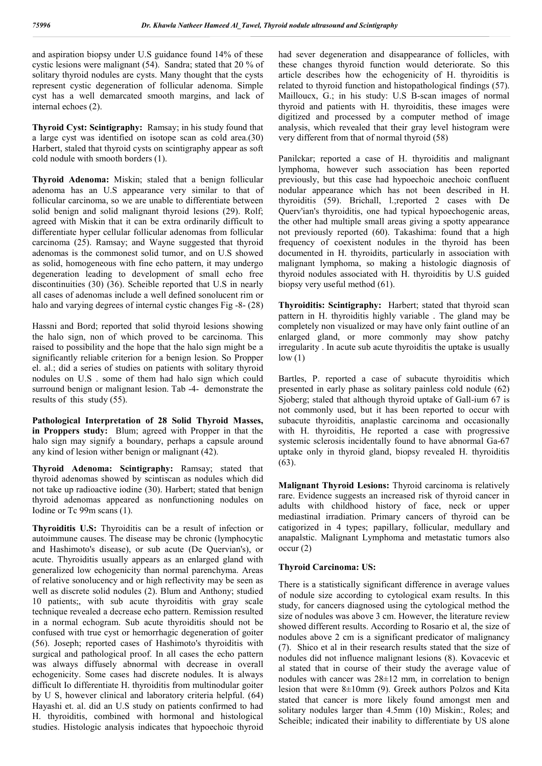and aspiration biopsy under U.S guidance found 14% of these cystic lesions were malignant (54). Sandra; stated that 20 % of solitary thyroid nodules are cysts. Many thought that the cysts represent cystic degeneration of follicular adenoma. Simple cyst has a well demarcated smooth margins, and lack of internal echoes (2).

**Thyroid Cyst: Scintigraphy:** Ramsay; in his study found that a large cyst was identified on isotope scan as cold area.(30) Harbert, staled that thyroid cysts on scintigraphy appear as soft cold nodule with smooth borders (1).

**Thyroid Adenoma:** Miskin; staled that a benign follicular adenoma has an U.S appearance very similar to that of follicular carcinoma, so we are unable to differentiate between solid benign and solid malignant thyroid lesions (29). Rolf; agreed with Miskin that it can be extra ordinarily difficult to differentiate hyper cellular follicular adenomas from follicular carcinoma (25). Ramsay; and Wayne suggested that thyroid adenomas is the commonest solid tumor, and on U.S showed as solid, homogeneous with fine echo pattern, it may undergo degeneration leading to development of small echo free discontinuities (30) (36). Scheible reported that U.S in nearly all cases of adenomas include a well defined sonolucent rim or halo and varying degrees of internal cystic changes Fig -8- (28)

Hassni and Bord; reported that solid thyroid lesions showing the halo sign, non of which proved to be carcinoma. This raised to possibility and the hope that the halo sign might be a significantly reliable criterion for a benign lesion. So Propper el. al.; did a series of studies on patients with solitary thyroid nodules on U.S . some of them had halo sign which could surround benign or malignant lesion. Tab -4- demonstrate the results of this study (55).

**Pathological Interpretation of 28 Solid Thyroid Masses, in Proppers study:** Blum; agreed with Propper in that the halo sign may signify a boundary, perhaps a capsule around any kind of lesion wither benign or malignant (42).

**Thyroid Adenoma: Scintigraphy:** Ramsay; stated that thyroid adenomas showed by scintiscan as nodules which did not take up radioactive iodine (30). Harbert; stated that benign thyroid adenomas appeared as nonfunctioning nodules on Iodine or Tc 99m scans (1).

**Thyroiditis U.S:** Thyroiditis can be a result of infection or autoimmune causes. The disease may be chronic (lymphocytic and Hashimoto's disease), or sub acute (De Quervian's), or acute. Thyroiditis usually appears as an enlarged gland with generalized low echogenicity than normal parenchyma. Areas of relative sonolucency and or high reflectivity may be seen as well as discrete solid nodules (2). Blum and Anthony; studied 10 patients;, with sub acute thyroiditis with gray scale technique revealed a decrease echo pattern. Remission resulted in a normal echogram. Sub acute thyroiditis should not be confused with true cyst or hemorrhagic degeneration of goiter (56). Joseph; reported cases of Hashimoto's thyroiditis with surgical and pathological proof. In all cases the echo pattern was always diffusely abnormal with decrease in overall echogenicity. Some cases had discrete nodules. It is always difficult Io differentiate H. thyroiditis from multinodular goiter by U S, however clinical and laboratory criteria helpful. (64) Hayashi et. al. did an U.S study on patients confirmed to had H. thyroiditis, combined with hormonal and histological studies. Histologic analysis indicates that hypoechoic thyroid had sever degeneration and disappearance of follicles, with these changes thyroid function would deteriorate. So this article describes how the echogenicity of H. thyroiditis is related to thyroid function and histopathological findings (57). Mailloucx, G.; in his study: U.S B-scan images of normal thyroid and patients with H. thyroiditis, these images were digitized and processed by a computer method of image analysis, which revealed that their gray level histogram were very different from that of normal thyroid (58)

Panilckar; reported a case of H. thyroiditis and malignant lymphoma, however such association has been reported previously, but this case had hypoechoic anechoic confluent nodular appearance which has not been described in H. thyroiditis (59). Brichall, l.;reported 2 cases with De Querv'ian's thyroiditis, one had typical hypoechogenic areas, the other had multiple small areas giving a spotty appearance not previously reported (60). Takashima: found that a high frequency of coexistent nodules in the thyroid has been documented in H. thyroidits, particularly in association with malignant lymphoma, so making a histologic diagnosis of thyroid nodules associated with H. thyroiditis by U.S guided biopsy very useful method (61).

**Thyroiditis: Scintigraphy:** Harbert; stated that thyroid scan pattern in H. thyroiditis highly variable . The gland may be completely non visualized or may have only faint outline of an enlarged gland, or more commonly may show patchy irregularity . In acute sub acute thyroiditis the uptake is usually  $low(1)$ 

Bartles, P. reported a case of subacute thyroiditis which presented in early phase as solitary painless cold nodule (62) Sjoberg; staled that although thyroid uptake of Gall-ium 67 is not commonly used, but it has been reported to occur with subacute thyroiditis, anaplastic carcinoma and occasionally with H. thyroiditis, He reported a case with progressive systemic sclerosis incidentally found to have abnormal Ga-67 uptake only in thyroid gland, biopsy revealed H. thyroiditis (63).

**Malignant Thyroid Lesions:** Thyroid carcinoma is relatively rare. Evidence suggests an increased risk of thyroid cancer in adults with childhood history of face, neck or upper mediastinal irradiation. Primary cancers of thyroid can be catigorized in 4 types; papillary, follicular, medullary and anapalstic. Malignant Lymphoma and metastatic tumors also occur (2)

## **Thyroid Carcinoma: US:**

There is a statistically significant difference in average values of nodule size according to cytological exam results. In this study, for cancers diagnosed using the cytological method the size of nodules was above 3 cm. However, the literature review showed different results. According to Rosario et al, the size of nodules above 2 cm is a significant predicator of malignancy (7). Shico et al in their research results stated that the size of nodules did not influence malignant lesions (8). Kovacevic et al stated that in course of their study the average value of nodules with cancer was  $28\pm12$  mm, in correlation to benign lesion that were 8±10mm (9). Greek authors Polzos and Kita stated that cancer is more likely found amongst men and solitary nodules larger than 4.5mm (10) Miskin:, Roles; and Scheible; indicated their inability to differentiate by US alone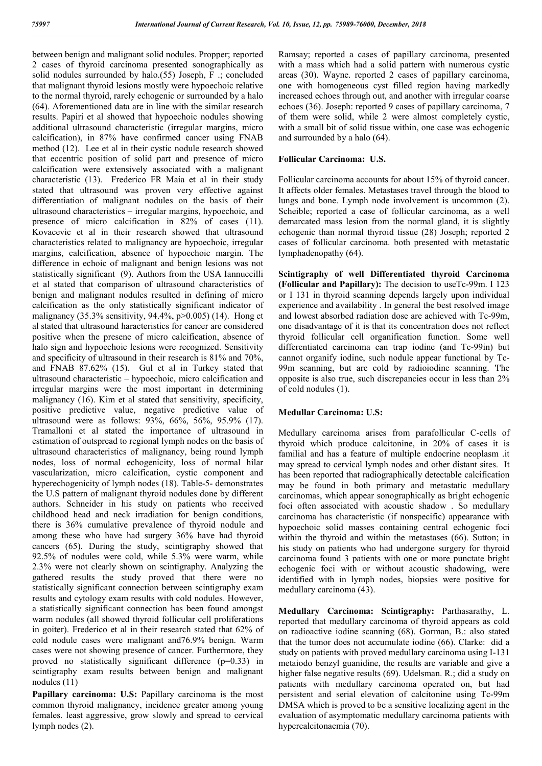between benign and malignant solid nodules. Propper; reported 2 cases of thyroid carcinoma presented sonographically as solid nodules surrounded by halo.(55) Joseph, F .; concluded that malignant thyroid lesions mostly were hypoechoic relative to the normal thyroid, rarely echogenic or surrounded by a halo (64). Aforementioned data are in line with the similar research results. Papiri et al showed that hypoechoic nodules showing additional ultrasound characteristic (irregular margins, micro calcification), in 87% have confirmed cancer using FNAB method (12). Lee et al in their cystic nodule research showed that eccentric position of solid part and presence of micro calcification were extensively associated with a malignant characteristic (13). Frederico FR Maia et al in their study stated that ultrasound was proven very effective against differentiation of malignant nodules on the basis of their ultrasound characteristics – irregular margins, hypoechoic, and presence of micro calcification in 82% of cases (11). Kovacevic et al in their research showed that ultrasound characteristics related to malignancy are hypoechoic, irregular margins, calcification, absence of hypoechoic margin. The difference in echoic of malignant and benign lesions was not statistically significant (9). Authors from the USA Iannuccilli et al stated that comparison of ultrasound characteristics of benign and malignant nodules resulted in defining of micro calcification as the only statistically significant indicator of malignancy (35.3% sensitivity, 94.4%, p>0.005) (14). Hong et al stated that ultrasound haracteristics for cancer are considered positive when the presene of micro calcification, absence of halo sign and hypoechoic lesions were recognized. Sensitivity and specificity of ultrasound in their research is 81% and 70%, and FNAB 87.62% (15). Gul et al in Turkey stated that ultrasound characteristic – hypoechoic, micro calcification and irregular margins were the most important in determining malignancy (16). Kim et al stated that sensitivity, specificity, positive predictive value, negative predictive value of ultrasound were as follows: 93%, 66%, 56%, 95.9% (17). Tramalloni et al stated the importance of ultrasound in estimation of outspread to regional lymph nodes on the basis of ultrasound characteristics of malignancy, being round lymph nodes, loss of normal echogenicity, loss of normal hilar vascularization, micro calcification, cystic component and hyperechogenicity of lymph nodes (18). Table-5- demonstrates the U.S pattern of malignant thyroid nodules done by different authors. Schneider in his study on patients who received childhood head and neck irradiation for benign conditions, there is 36% cumulative prevalence of thyroid nodule and among these who have had surgery 36% have had thyroid cancers (65). During the study, scintigraphy showed that 92.5% of nodules were cold, while 5.3% were warm, while 2.3% were not clearly shown on scintigraphy. Analyzing the gathered results the study proved that there were no statistically significant connection between scintigraphy exam results and cytology exam results with cold nodules. However, a statistically significant connection has been found amongst warm nodules (all showed thyroid follicular cell proliferations in goiter). Frederico et al in their research stated that 62% of cold nodule cases were malignant and76.9% benign. Warm cases were not showing presence of cancer. Furthermore, they proved no statistically significant difference (p=0.33) in scintigraphy exam results between benign and malignant nodules (11)

**Papillary carcinoma: U.S:** Papillary carcinoma is the most common thyroid malignancy, incidence greater among young females. least aggressive, grow slowly and spread to cervical lymph nodes (2).

Ramsay; reported a cases of papillary carcinoma, presented with a mass which had a solid pattern with numerous cystic areas (30). Wayne. reported 2 cases of papillary carcinoma, one with homogeneous cyst filled region having markedly increased echoes through out, and another with irregular coarse echoes (36). Joseph: reported 9 cases of papillary carcinoma, 7 of them were solid, while 2 were almost completely cystic, with a small bit of solid tissue within, one case was echogenic and surrounded by a halo (64).

# **Follicular Carcinoma: U.S.**

Follicular carcinoma accounts for about 15% of thyroid cancer. It affects older females. Metastases travel through the blood to lungs and bone. Lymph node involvement is uncommon (2). Scheible; reported a case of follicular carcinoma, as a well demarcated mass lesion from the normal gland, it is slightly echogenic than normal thyroid tissue (28) Joseph; reported 2 cases of follicular carcinoma. both presented with metastatic lymphadenopathy (64).

**Scintigraphy of well Differentiated thyroid Carcinoma (Follicular and Papillary):** The decision to useTc-99m. I 123 or I 131 in thyroid scanning depends largely upon individual experience and availability . In general the best resolved image and lowest absorbed radiation dose are achieved with Tc-99m, one disadvantage of it is that its concentration does not reflect thyroid follicular cell organification function. Some well differentiated carcinoma can trap iodine (and Tc-99in) but cannot organify iodine, such nodule appear functional by Tc-99m scanning, but are cold by radioiodine scanning. 'I'he opposite is also true, such discrepancies occur in less than 2% of cold nodules (1).

# **Medullar Carcinoma: U.S:**

Medullary carcinoma arises from parafollicular C-cells of thyroid which produce calcitonine, in 20% of cases it is familial and has a feature of multiple endocrine neoplasm .it may spread to cervical lymph nodes and other distant sites. It has been reported that radiographically detectable calcification may be found in both primary and metastatic medullary carcinomas, which appear sonographically as bright echogenic foci often associated with acoustic shadow . So medullary carcinoma has characteristic (if nonspecific) appearance with hypoechoic solid masses containing central echogenic foci within the thyroid and within the metastases (66). Sutton; in his study on patients who had undergone surgery for thyroid carcinoma found 3 patients with one or more punctate bright echogenic foci with or without acoustic shadowing, were identified with in lymph nodes, biopsies were positive for medullary carcinoma (43).

**Medullary Carcinoma: Scintigraphy:** Parthasarathy, L. reported that medullary carcinoma of thyroid appears as cold on radioactive iodine scanning (68). Gorman, B.: also stated that the tumor does not accumulate iodine (66). Clarke: did a study on patients with proved medullary carcinoma using I-131 metaiodo benzyl guanidine, the results are variable and give a higher false negative results (69). Udelsman, R.; did a study on patients with medullary carcinoma operated on, but had persistent and serial elevation of calcitonine using Tc-99m DMSA which is proved to be a sensitive localizing agent in the evaluation of asymptomatic medullary carcinoma patients with hypercalcitonaemia (70).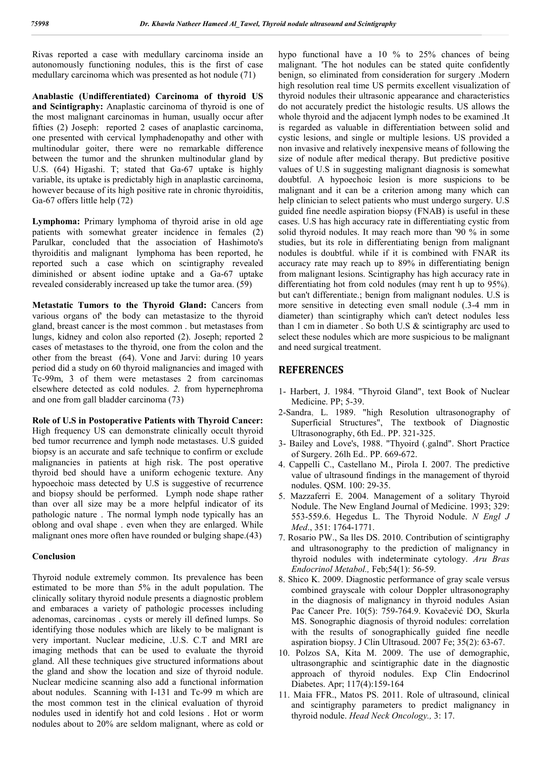Rivas reported a case with medullary carcinoma inside an autonomously functioning nodules, this is the first of case medullary carcinoma which was presented as hot nodule (71)

**Anablastic (Undifferentiated) Carcinoma of thyroid US and Scintigraphy:** Anaplastic carcinoma of thyroid is one of the most malignant carcinomas in human, usually occur after fifties (2) Joseph: reported 2 cases of anaplastic carcinoma, one presented with cervical lymphadenopathy and other with multinodular goiter, there were no remarkable difference between the tumor and the shrunken multinodular gland by U.S. (64) Higashi. T; stated that Ga-67 uptake is highly variable, its uptake is predictably high in anaplastic carcinoma, however because of its high positive rate in chronic thyroiditis, Ga-67 offers little help (72)

**Lymphoma:** Primary lymphoma of thyroid arise in old age patients with somewhat greater incidence in females (2) Parulkar, concluded that the association of Hashimoto's thyroiditis and malignant lymphoma has been reported, he reported such a case which on scintigraphy revealed diminished or absent iodine uptake and a Ga-67 uptake revealed considerably increased up take the tumor area. (59)

**Metastatic Tumors to the Thyroid Gland:** Cancers from various organs of' the body can metastasize to the thyroid gland, breast cancer is the most common . but metastases from lungs, kidney and colon also reported (2). Joseph; reported 2 cases of metastases to the thyroid, one from the colon and the other from the breast (64). Vone and Jarvi: during 10 years period did a study on 60 thyroid malignancies and imaged with Tc-99m, 3 of them were metastases 2 from carcinomas elsewhere detected as cold nodules. *2.* from hypernephroma and one from gall bladder carcinoma (73)

**Role of U.S in Postoperative Patients with Thyroid Cancer:** High frequency US can demonstrate clinically occult thyroid bed tumor recurrence and lymph node metastases. U.S guided biopsy is an accurate and safe technique to confirm or exclude malignancies in patients at high risk. The post operative thyroid bed should have a uniform echogenic texture. Any hypoechoic mass detected by U.S is suggestive of recurrence and biopsy should be performed. Lymph node shape rather than over all size may be a more helpful indicator of its pathologic nature . The normal lymph node typically has an oblong and oval shape . even when they are enlarged. While malignant ones more often have rounded or bulging shape.(43)

#### **Conclusion**

Thyroid nodule extremely common. Its prevalence has been estimated to be more than 5% in the adult population. The clinically solitary thyroid nodule presents a diagnostic problem and embaraces a variety of pathologic processes including adenomas, carcinomas . cysts or merely ill defined lumps. So identifying those nodules which are likely to be malignant is very important. Nuclear medicine, .U.S. C.T and MRI are imaging methods that can be used to evaluate the thyroid gland. All these techniques give structured informations about the gland and show the location and size of thyroid nodule. Nuclear medicine scanning also add a functional information about nodules. Scanning with I-131 and Tc-99 m which are the most common test in the clinical evaluation of thyroid nodules used in identify hot and cold lesions . Hot or worm nodules about to 20% are seldom malignant, where as cold or hypo functional have a 10 % to 25% chances of being malignant. 'The hot nodules can be stated quite confidently benign, so eliminated from consideration for surgery .Modern high resolution real time US permits excellent visualization of thyroid nodules their ultrasonic appearance and characteristics do not accurately predict the histologic results. US allows the whole thyroid and the adjacent lymph nodes to be examined .It is regarded as valuable in differentiation between solid and cystic lesions, and single or multiple lesions. US provided a non invasive and relatively inexpensive means of following the size of nodule after medical therapy. But predictive positive values of U.S in suggesting malignant diagnosis is somewhat doubtful. A hypoechoic lesion is more suspicions to be malignant and it can be a criterion among many which can help clinician to select patients who must undergo surgery. U.S guided fine needle aspiration biopsy (FNAB) is useful in these cases. U.S has high accuracy rate in differentiating cystic from solid thyroid nodules. It may reach more than '90 % in some studies, but its role in differentiating benign from malignant nodules is doubtful. while if it is combined with FNAR its accuracy rate may reach up to 89% in differentiating benign from malignant lesions. Scintigraphy has high accuracy rate in differentiating hot from cold nodules (may rent h up to 95%), but can't differentiate.; benign from malignant nodules. U.S is more sensitive in detecting even small nodule (.3-4 mm in diameter) than scintigraphy which can't detect nodules less than 1 cm in diameter . So both U.S & scintigraphy arc used to select these nodules which are more suspicious to be malignant and need surgical treatment.

## **REFERENCES**

- 1- Harbert, J. 1984. "Thyroid Gland", text Book of Nuclear Medicine. PP; 5-39.
- 2-Sandra, L. 1989. "high Resolution ultrasonography of Superficial Structures", The textbook of Diagnostic Ultrasonography, 6th Ed.. PP. 321-325.
- 3- Bailey and Love's, 1988. "Thyoird (.galnd". Short Practice of Surgery. 26lh Ed.. PP. 669-672.
- 4. Cappelli C., Castellano M., Pirola I. 2007. The predictive value of ultrasound findings in the management of thyroid nodules. QSM. 100: 29-35.
- 5. Mazzaferri E. 2004. Management of a solitary Thyroid Nodule. The New England Journal of Medicine. 1993; 329: 553-559.6. Hegedus L. The Thyroid Nodule. *N Engl J Med*., 351: 1764-1771.
- 7. Rosario PW., Sa lles DS. 2010. Contribution of scintigraphy and ultrasonography to the prediction of malignancy in thyroid nodules with indeterminate cytology. *Aru Bras Endocrinol Metabol.,* Feb;54(1): 56-59.
- 8. Shico K. 2009. Diagnostic performance of gray scale versus combined grayscale with colour Doppler ultrasonography in the diagnosis of malignancy in thyroid nodules Asian Pac Cancer Pre. 10(5): 759-764.9. Kovačević DO, Skurla MS. Sonographic diagnosis of thyroid nodules: correlation with the results of sonographically guided fine needle aspiration biopsy. J Clin Ultrasoud. 2007 Fe; 35(2): 63-67.
- 10. Polzos SA, Kita M. 2009. The use of demographic, ultrasongraphic and scintigraphic date in the diagnostic approach of thyroid nodules. Exp Clin Endocrinol Diabetes. Apr; 117(4):159-164
- 11. Maia FFR., Matos PS. 2011. Role of ultrasound, clinical and scintigraphy parameters to predict malignancy in thyroid nodule. *Head Neck Oncology.,* 3: 17.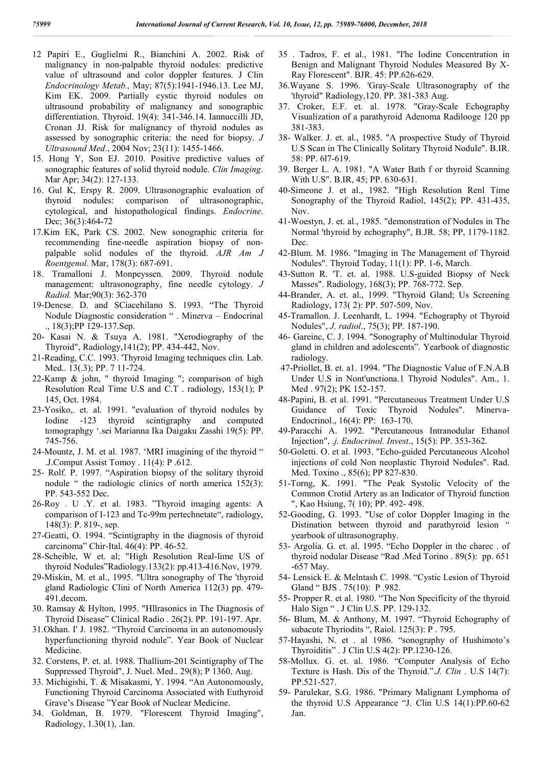- 12 Papiri E., Guglielmi R., Bianchini A. 2002. Risk of malignancy in non-palpable thyroid nodules: predictive value of ultrasound and color doppler features. J Clin *Endocrinology Metab.,* May; 87(5):1941-1946.13. Lee MJ, Kim EK. 2009. Partially cystic thyroid nodules on ultrasound probability of malignancy and sonographic differentiation. Thyroid. 19(4): 341-346.14. Iannuccilli JD, Cronan JJ. Risk for malignancy of thyroid nodules as assessed by sonographic criteria: the need for biopsy. *J Ultrasound Med*., 2004 Nov; 23(11): 1455-1466.
- 15. Hong Y, Son EJ. 2010. Positive predictive values of sonographic features of solid thyroid nodule. *Clin Imaging*. Mar Apr; 34(2): 127-133.
- 16. Gul K, Erspy R. 2009. Ultrasonographic evaluation of thyroid nodules: comparison of ultrasonographic, cytological, and histopathological findings. *Endocrine*. Dec; 36(3):464-72
- 17.Kim EK, Park CS. 2002. New sonographic criteria for recommending fine-needle aspiration biopsy of nonpalpable solid nodules of the thyroid. *AJR Am J Roentgenol*. Mar, 178(3): 687-691.
- 18. Tramalloni J. Monpeyssen. 2009. Thyroid nodule management: ultrasonography, fine needle cytology. *J Radiol.* Mar;90(3): 362-370
- 19-Denese. D. and SCiacehilano S. 1993. "The Thyroid Nodule Diagnostic consideration " . Minerva – Endocrinal ., 18(3);PP 129-137.Sep.
- 20- Kasai N. & Tsuya A. 1981. "Xerodiography of the Thyroid", Radiology,141(2); PP. 434-442, Nov.
- 21-Reading, C.C. 1993. 'Thyroid Imaging techniques clin. Lab. Med.. 13(.3); PP. 7 11-724.
- 22-Kamp & john, " thyroid Imaging "; comparison of high Resolution Real Time U.S and C.T . radiology, 153(1); P 145, Oct. 1984.
- 23-Yosiko,. et. al. 1991. "evaluation of thyroid nodules by Iodine -123 thyroid scintigraphy and computed tomographgy '.sei Marianna Ika Daigaku Zasshi 19(5): PP. 745-756.
- 24-Mountz, J. M. et al. 1987. 'MRI imagining of the thyroid " .J.Comput Assist Tomoy . 11(4): P .612.
- 25- Rolf. P. 1997. "Aspiration biopsy of the solitary thyroid nodule " the radiologic clinics of north america 152(3): PP. 543-552 Dec.
- 26-Roy . U .Y. et al. 1983. "Thyroid imaging agents: A comparison of I-123 and Tc-99m pertechnetate", radiology, 148(3): P. 819-, sep.
- 27-Geatti, O. 1994. "Scintigraphy in the diagnosis of thyroid carcinoma" Chir-Ital. 46(4): PP. 46-52.
- 28-Scheible, W et. al; "High Resolution Real-lime US of thyroid Nodules"Radiology.133(2): pp.413-416.Nov, 1979.
- 29-Miskin, M. et al., 1995. "Ultra sonography of The 'thyroid gland Radiologic Clini of North America 112(3) pp. 479- 491.decom.
- 30. Ramsay & Hylton, 1995. "Hllrasonics in The Diagnosis of Thyroid Disease" Clinical Radio . 26(2). PP. 191-197. Apr.
- 31.Okhan. I' J. 1982. "Thyroid Carcinoma in an autonomously hyperfunctioning thyroid nodule". Year Book of Nuclear Medicine.
- 32. Corstens, P. et. al. 1988. Thallium-201 Scintigraphy of The Suppressed Thyroid", J. Nuel. Med.. 29(8); P 1360, Aug.
- 33. Michigishi, T. & Misakasmi, Y. 1994. "An Autonomously, Functioning Thyroid Carcinoma Associated with Euthyroid Grave's Disease "Year Book of Nuclear Medicine.
- 34. Goldman, B. 1979. "Florescent Thyroid Imaging", Radiology, 1.30(1), .Ian.
- 35 . Tadros, F. et al., 1981. "I'he Iodine Concentration in Benign and Malignant Thyroid Nodules Measured By X-Ray Florescent". BJR. 45: PP.626-629.
- 36.Wayane S. 1996. 'Gray-Scale Ultrasonography of the 'thyroid" Radiology,120. PP. 381-383 Aug.
- 37. Croker, E.F. et. al. 1978. "Gray-Scale Echography Visualization of a parathyroid Adenoma Radilooge 120 pp 381-383.
- 38- Walker. J. et. al., 1985. "A prospective Study of Thyroid U.S Scan in The Clinically Solitary Thyroid Nodule". B.IR. 58: PP. 6l7-619.
- 39. Berger L. A. 1981. "A Water Bath f or thyroid Scanning With U.S". B.IR, 45; PP. 630-631.
- 40-Simeone J. et al., 1982. "High Resolution Renl Time Sonography of the Thyroid Radiol, 145(2); PP. 431-435, Nov.
- 41-Woestyn, J. et. al., 1985. "demonstration of Nodules in The Normal 'thyroid by echography", B.JR. 58; PP, 1179-1182. Dec.
- 42-Blum. M. 1986. "Imaging in The Management of Thyroid Nodules". Thyroid Today, 11(1): PP. 1-6, March.
- 43-Sutton R. 'T. et. al. 1988. U.S-guided Biopsy of Neck Masses". Radiology, 168(3); PP. 768-772. Sep.
- 44-Brander, A. et. al., 1999. "Thyroid Gland; Us Screening Radiology, 173( 2): PP. 507-509, Nov.
- 45-Tramallon. J. Leenhardt, L. 1994. "Echography ot Thyroid Nodules", *J, radiol*., 75(3); PP. 187-190.
- 46- Gareinc, C. J. 1994. "Sonography of Multinodular Thyroid gland in children and adolescents". Yearbook of diagnostic radiology.
- 47-Priollet, B. et. a1. 1994. "The Diagnostic Value of F.N.A.B Under U.S in Nont'unctiona.1 Thyroid Nodules". Am., 1. Med . 97(2); PK 152-157.
- 48-Papini, B. et al. 1991. "Percutaneous Treatment Under U.S Guidance of Toxic Thyroid Nodules". Minerva-Endocrinol., 16(4): PP: 163-170.
- 49-Paracchi A. 1992. "Percutaneous Intranodular Ethanol Injection", .*j. Endocrinol. Invest*., 15(5): PP. 353-362.
- 50-Goletti. O. et al. 1993. "Echo-guided Percutaneous Alcohol injections of cold Non neoplastic Thyroid Nodules". Rad. Med. Toxino ., 85(6); PP 827-830.
- 51-Torng, K. 1991. "The Peak Systolic Velocity of the Common Crotid Artery as an Indicator of Thyroid function ", Kao Hsiung, 7( 10); PP. 492- 498.
- 52-Gooding, G. 1993. "Use of color Doppler Imaging in the Distination between thyroid and parathyroid lesion " yearbook of ultrasonography.
- 53- Argolia. G. et. al. 1995. "Echo Doppler in the charec . of thyroid nodular Disease "Rad .Med Torino . 89(5): pp. 651 -657 May.
- 54- Lensick E. & Melntash C. 1998. "Cystic Lesion of Thyroid Gland " BJS . 75(10): P .982.
- 55- Propper R. et al. 1980. "The Non Specificity of the thyroid Halo Sign " . J Clin U.S. PP. 129-132.
- 56- Blum, M. & Anthony, M. 1997. "Thyroid Echography of subacute Thyriodits ", Raiol. 125(3): P . 795.
- 57-Hayashi, N. et . al 1986. "sonography of Hushimoto's Thyroiditis" . J Clin U.S 4(2): PP.1230-126.
- 58-Mollux. G. et. al. 1986. "Computer Analysis of Echo Texture is Hash. Dis of the Thyroid.".*J. Clin* . U.S 14(7): PP.521-527.
- 59- Parulekar, S.G. 1986. "Primary Malignant Lymphoma of the thyroid U.S Appearance "J. Clin U.S 14(1):PP.60-62 Jan.